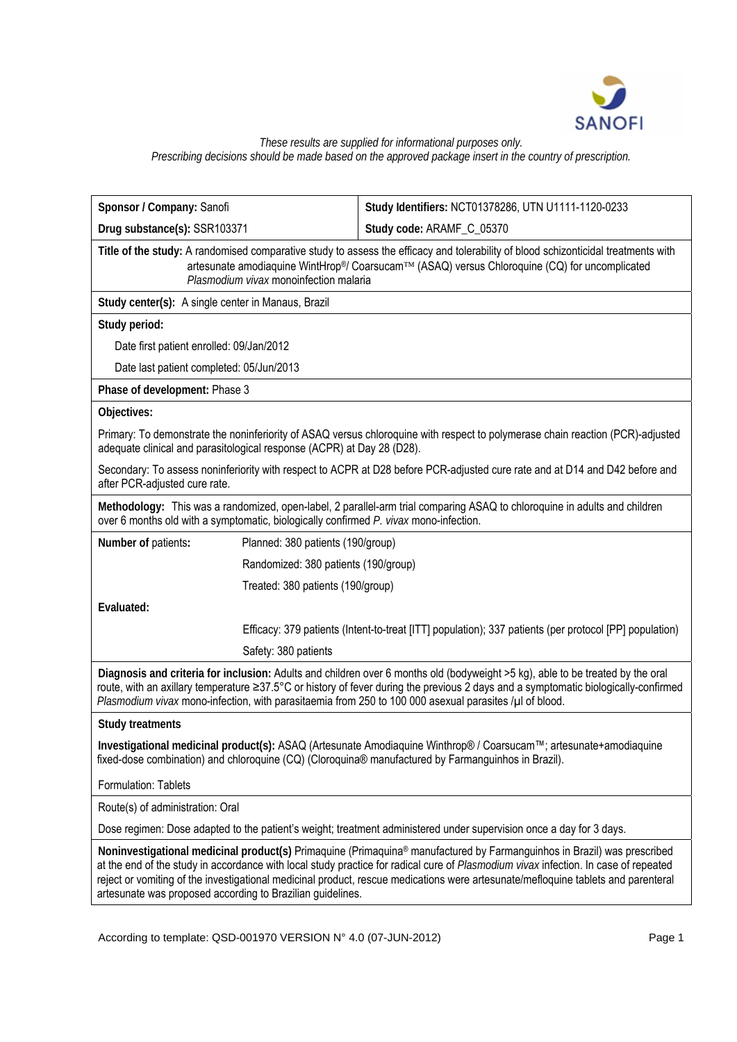

## *These results are supplied for informational purposes only. Prescribing decisions should be made based on the approved package insert in the country of prescription.*

| Sponsor / Company: Sanofi                                                                                                                                                                                                                                                                                                                                                                                                                                         | Study Identifiers: NCT01378286, UTN U1111-1120-0233                                                                                                                                                                                                                   |  |  |
|-------------------------------------------------------------------------------------------------------------------------------------------------------------------------------------------------------------------------------------------------------------------------------------------------------------------------------------------------------------------------------------------------------------------------------------------------------------------|-----------------------------------------------------------------------------------------------------------------------------------------------------------------------------------------------------------------------------------------------------------------------|--|--|
| Drug substance(s): SSR103371                                                                                                                                                                                                                                                                                                                                                                                                                                      | Study code: ARAMF_C_05370                                                                                                                                                                                                                                             |  |  |
| Title of the study: A randomised comparative study to assess the efficacy and tolerability of blood schizonticidal treatments with<br>artesunate amodiaquine WintHrop®/ Coarsucam™ (ASAQ) versus Chloroquine (CQ) for uncomplicated<br>Plasmodium vivax monoinfection malaria                                                                                                                                                                                     |                                                                                                                                                                                                                                                                       |  |  |
| Study center(s): A single center in Manaus, Brazil                                                                                                                                                                                                                                                                                                                                                                                                                |                                                                                                                                                                                                                                                                       |  |  |
| Study period:                                                                                                                                                                                                                                                                                                                                                                                                                                                     |                                                                                                                                                                                                                                                                       |  |  |
| Date first patient enrolled: 09/Jan/2012                                                                                                                                                                                                                                                                                                                                                                                                                          |                                                                                                                                                                                                                                                                       |  |  |
| Date last patient completed: 05/Jun/2013                                                                                                                                                                                                                                                                                                                                                                                                                          |                                                                                                                                                                                                                                                                       |  |  |
| Phase of development: Phase 3                                                                                                                                                                                                                                                                                                                                                                                                                                     |                                                                                                                                                                                                                                                                       |  |  |
| Objectives:                                                                                                                                                                                                                                                                                                                                                                                                                                                       |                                                                                                                                                                                                                                                                       |  |  |
| adequate clinical and parasitological response (ACPR) at Day 28 (D28).                                                                                                                                                                                                                                                                                                                                                                                            | Primary: To demonstrate the noninferiority of ASAQ versus chloroquine with respect to polymerase chain reaction (PCR)-adjusted                                                                                                                                        |  |  |
| after PCR-adjusted cure rate.                                                                                                                                                                                                                                                                                                                                                                                                                                     | Secondary: To assess noninferiority with respect to ACPR at D28 before PCR-adjusted cure rate and at D14 and D42 before and                                                                                                                                           |  |  |
| over 6 months old with a symptomatic, biologically confirmed P. vivax mono-infection.                                                                                                                                                                                                                                                                                                                                                                             | Methodology: This was a randomized, open-label, 2 parallel-arm trial comparing ASAQ to chloroquine in adults and children                                                                                                                                             |  |  |
| Number of patients:                                                                                                                                                                                                                                                                                                                                                                                                                                               | Planned: 380 patients (190/group)                                                                                                                                                                                                                                     |  |  |
|                                                                                                                                                                                                                                                                                                                                                                                                                                                                   | Randomized: 380 patients (190/group)                                                                                                                                                                                                                                  |  |  |
|                                                                                                                                                                                                                                                                                                                                                                                                                                                                   | Treated: 380 patients (190/group)                                                                                                                                                                                                                                     |  |  |
| Evaluated:                                                                                                                                                                                                                                                                                                                                                                                                                                                        |                                                                                                                                                                                                                                                                       |  |  |
|                                                                                                                                                                                                                                                                                                                                                                                                                                                                   | Efficacy: 379 patients (Intent-to-treat [ITT] population); 337 patients (per protocol [PP] population)                                                                                                                                                                |  |  |
| Safety: 380 patients                                                                                                                                                                                                                                                                                                                                                                                                                                              |                                                                                                                                                                                                                                                                       |  |  |
| Plasmodium vivax mono-infection, with parasitaemia from 250 to 100 000 asexual parasites /µl of blood.                                                                                                                                                                                                                                                                                                                                                            | Diagnosis and criteria for inclusion: Adults and children over 6 months old (bodyweight >5 kg), able to be treated by the oral<br>route, with an axillary temperature ≥37.5°C or history of fever during the previous 2 days and a symptomatic biologically-confirmed |  |  |
| <b>Study treatments</b>                                                                                                                                                                                                                                                                                                                                                                                                                                           |                                                                                                                                                                                                                                                                       |  |  |
| Investigational medicinal product(s): ASAQ (Artesunate Amodiaquine Winthrop® / Coarsucam™; artesunate+amodiaquine<br>fixed-dose combination) and chloroquine (CQ) (Cloroquina® manufactured by Farmanguinhos in Brazil).                                                                                                                                                                                                                                          |                                                                                                                                                                                                                                                                       |  |  |
| Formulation: Tablets                                                                                                                                                                                                                                                                                                                                                                                                                                              |                                                                                                                                                                                                                                                                       |  |  |
| Route(s) of administration: Oral                                                                                                                                                                                                                                                                                                                                                                                                                                  |                                                                                                                                                                                                                                                                       |  |  |
|                                                                                                                                                                                                                                                                                                                                                                                                                                                                   | Dose regimen: Dose adapted to the patient's weight; treatment administered under supervision once a day for 3 days.                                                                                                                                                   |  |  |
| Noninvestigational medicinal product(s) Primaquine (Primaquina® manufactured by Farmanguinhos in Brazil) was prescribed<br>at the end of the study in accordance with local study practice for radical cure of Plasmodium vivax infection. In case of repeated<br>reject or vomiting of the investigational medicinal product, rescue medications were artesunate/mefloquine tablets and parenteral<br>artesunate was proposed according to Brazilian guidelines. |                                                                                                                                                                                                                                                                       |  |  |

According to template: QSD-001970 VERSION N° 4.0 (07-JUN-2012) Page 1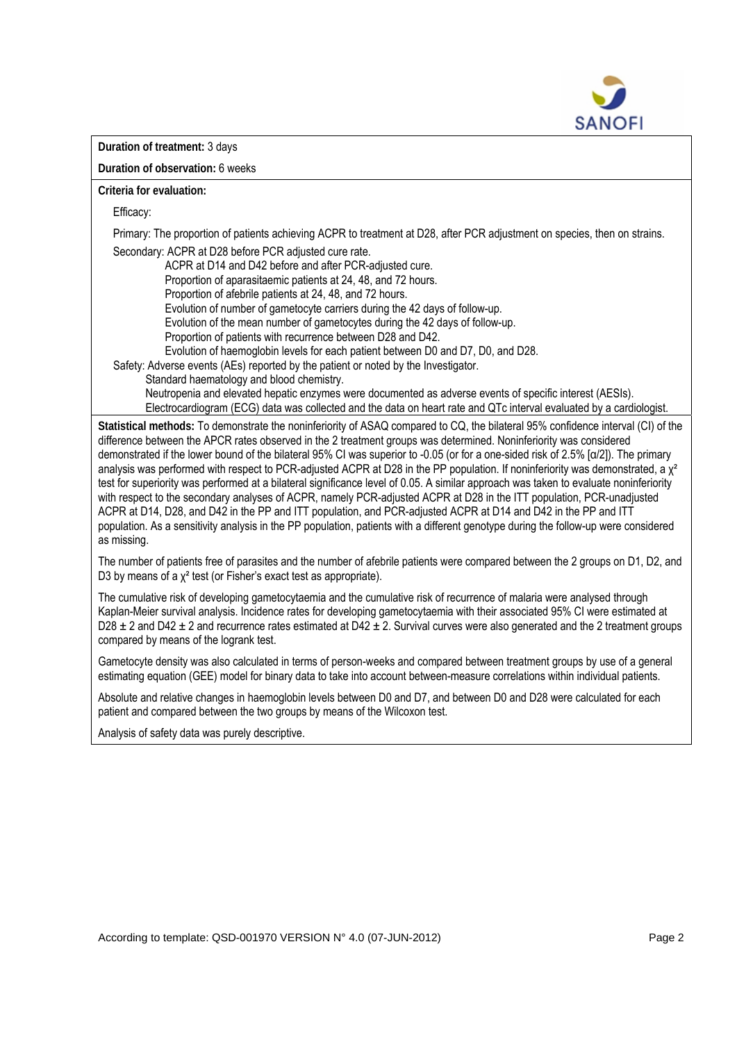

**Duration of treatment:** 3 days

**Duration of observation:** 6 weeks

**Criteria for evaluation:**

Efficacy:

Primary: The proportion of patients achieving ACPR to treatment at D28, after PCR adjustment on species, then on strains. Secondary: ACPR at D28 before PCR adjusted cure rate.

ACPR at D14 and D42 before and after PCR-adjusted cure.

Proportion of aparasitaemic patients at 24, 48, and 72 hours.

Proportion of afebrile patients at 24, 48, and 72 hours.

Evolution of number of gametocyte carriers during the 42 days of follow-up.

Evolution of the mean number of gametocytes during the 42 days of follow-up.

Proportion of patients with recurrence between D28 and D42.

Evolution of haemoglobin levels for each patient between D0 and D7, D0, and D28.

Safety: Adverse events (AEs) reported by the patient or noted by the Investigator.

Standard haematology and blood chemistry.

 Neutropenia and elevated hepatic enzymes were documented as adverse events of specific interest (AESIs). Electrocardiogram (ECG) data was collected and the data on heart rate and QTc interval evaluated by a cardiologist.

**Statistical methods:** To demonstrate the noninferiority of ASAQ compared to CQ, the bilateral 95% confidence interval (CI) of the difference between the APCR rates observed in the 2 treatment groups was determined. Noninferiority was considered demonstrated if the lower bound of the bilateral 95% CI was superior to -0.05 (or for a one-sided risk of 2.5% [α/2]). The primary analysis was performed with respect to PCR-adjusted ACPR at D28 in the PP population. If noninferiority was demonstrated, a y<sup>2</sup> test for superiority was performed at a bilateral significance level of 0.05. A similar approach was taken to evaluate noninferiority with respect to the secondary analyses of ACPR, namely PCR-adjusted ACPR at D28 in the ITT population, PCR-unadjusted ACPR at D14, D28, and D42 in the PP and ITT population, and PCR-adjusted ACPR at D14 and D42 in the PP and ITT population. As a sensitivity analysis in the PP population, patients with a different genotype during the follow-up were considered as missing.

The number of patients free of parasites and the number of afebrile patients were compared between the 2 groups on D1, D2, and D3 by means of a  $\chi^2$  test (or Fisher's exact test as appropriate).

The cumulative risk of developing gametocytaemia and the cumulative risk of recurrence of malaria were analysed through Kaplan-Meier survival analysis. Incidence rates for developing gametocytaemia with their associated 95% CI were estimated at D28  $\pm$  2 and D42  $\pm$  2 and recurrence rates estimated at D42  $\pm$  2. Survival curves were also generated and the 2 treatment groups compared by means of the logrank test.

Gametocyte density was also calculated in terms of person-weeks and compared between treatment groups by use of a general estimating equation (GEE) model for binary data to take into account between-measure correlations within individual patients.

Absolute and relative changes in haemoglobin levels between D0 and D7, and between D0 and D28 were calculated for each patient and compared between the two groups by means of the Wilcoxon test.

Analysis of safety data was purely descriptive.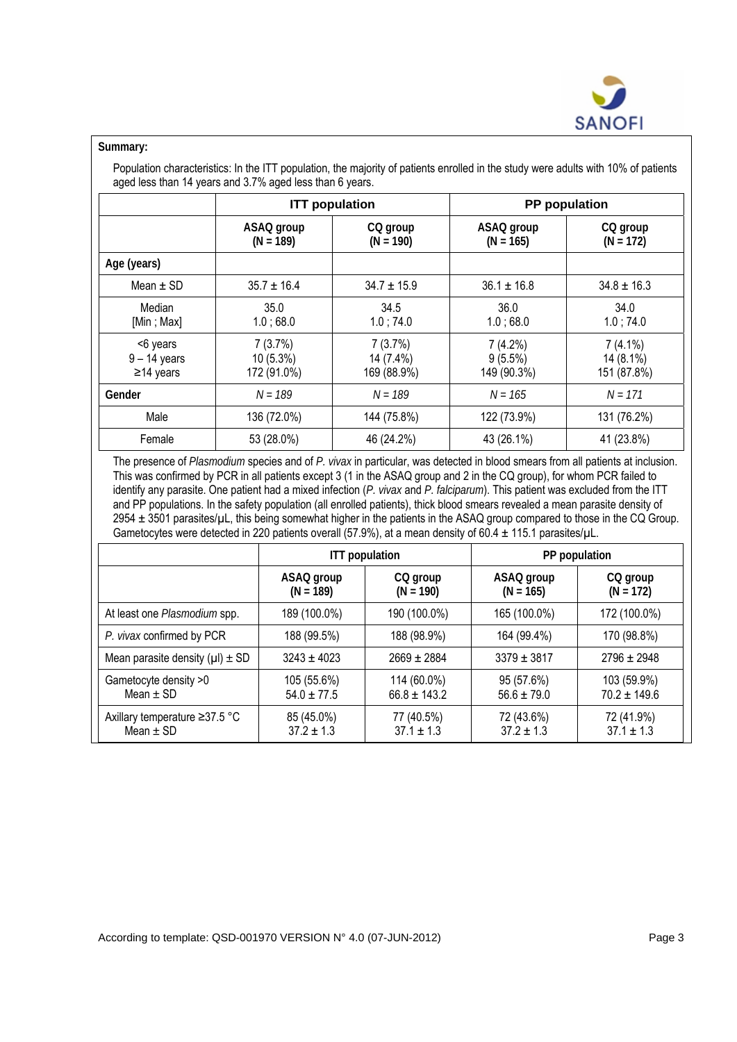

## **Summary:**

Population characteristics: In the ITT population, the majority of patients enrolled in the study were adults with 10% of patients aged less than 14 years and 3.7% aged less than 6 years.

|                                               | <b>ITT</b> population                 |                                     | PP population                        |                                        |
|-----------------------------------------------|---------------------------------------|-------------------------------------|--------------------------------------|----------------------------------------|
|                                               | ASAQ group<br>$(N = 189)$             | CQ group<br>$(N = 190)$             | ASAQ group<br>$(N = 165)$            | CQ group<br>$(N = 172)$                |
| Age (years)                                   |                                       |                                     |                                      |                                        |
| Mean $\pm$ SD                                 | $35.7 \pm 16.4$                       | $34.7 \pm 15.9$                     | $36.1 \pm 16.8$                      | $34.8 \pm 16.3$                        |
| Median<br>[Min ; Max]                         | 35.0<br>1.0;68.0                      | 34.5<br>1.0; 74.0                   | 36.0<br>1.0;68.0                     | 34.0<br>1.0;74.0                       |
| <6 years<br>$9 - 14$ years<br>$\geq$ 14 years | 7(3.7%)<br>$10(5.3\%)$<br>172 (91.0%) | 7(3.7%)<br>14 (7.4%)<br>169 (88.9%) | 7(4.2%)<br>$9(5.5\%)$<br>149 (90.3%) | $7(4.1\%)$<br>14 (8.1%)<br>151 (87.8%) |
| Gender                                        | $N = 189$                             | $N = 189$                           | $N = 165$                            | $N = 171$                              |
| Male                                          | 136 (72.0%)                           | 144 (75.8%)                         | 122 (73.9%)                          | 131 (76.2%)                            |
| Female                                        | 53 (28.0%)                            | 46 (24.2%)                          | 43 (26.1%)                           | 41 (23.8%)                             |

The presence of *Plasmodium* species and of *P. vivax* in particular, was detected in blood smears from all patients at inclusion. This was confirmed by PCR in all patients except 3 (1 in the ASAQ group and 2 in the CQ group), for whom PCR failed to identify any parasite. One patient had a mixed infection (*P. vivax* and *P. falciparum*). This patient was excluded from the ITT and PP populations. In the safety population (all enrolled patients), thick blood smears revealed a mean parasite density of 2954 ± 3501 parasites/µL, this being somewhat higher in the patients in the ASAQ group compared to those in the CQ Group. Gametocytes were detected in 220 patients overall (57.9%), at a mean density of 60.4  $\pm$  115.1 parasites/ $\mu$ L.

|                                                | <b>ITT</b> population          |                                 | PP population                 |                                 |
|------------------------------------------------|--------------------------------|---------------------------------|-------------------------------|---------------------------------|
|                                                | ASAQ group<br>$(N = 189)$      | CQ group<br>$(N = 190)$         | ASAQ group<br>$(N = 165)$     | CQ group<br>$(N = 172)$         |
| At least one Plasmodium spp.                   | 189 (100.0%)                   | 190 (100.0%)                    | 165 (100.0%)                  | 172 (100.0%)                    |
| P. vivax confirmed by PCR                      | 188 (99.5%)                    | 188 (98.9%)                     | 164 (99.4%)                   | 170 (98.8%)                     |
| Mean parasite density $(\mu I) \pm SD$         | $3243 \pm 4023$                | $2669 \pm 2884$                 | $3379 \pm 3817$               | $2796 \pm 2948$                 |
| Gametocyte density >0<br>Mean $\pm$ SD         | 105 (55.6%)<br>$54.0 \pm 77.5$ | 114 (60.0%)<br>$66.8 \pm 143.2$ | 95 (57.6%)<br>$56.6 \pm 79.0$ | 103 (59.9%)<br>$70.2 \pm 149.6$ |
| Axillary temperature ≥37.5 °C<br>Mean $\pm$ SD | 85 (45.0%)<br>$37.2 \pm 1.3$   | 77 (40.5%)<br>$37.1 \pm 1.3$    | 72 (43.6%)<br>$37.2 \pm 1.3$  | 72 (41.9%)<br>$37.1 \pm 1.3$    |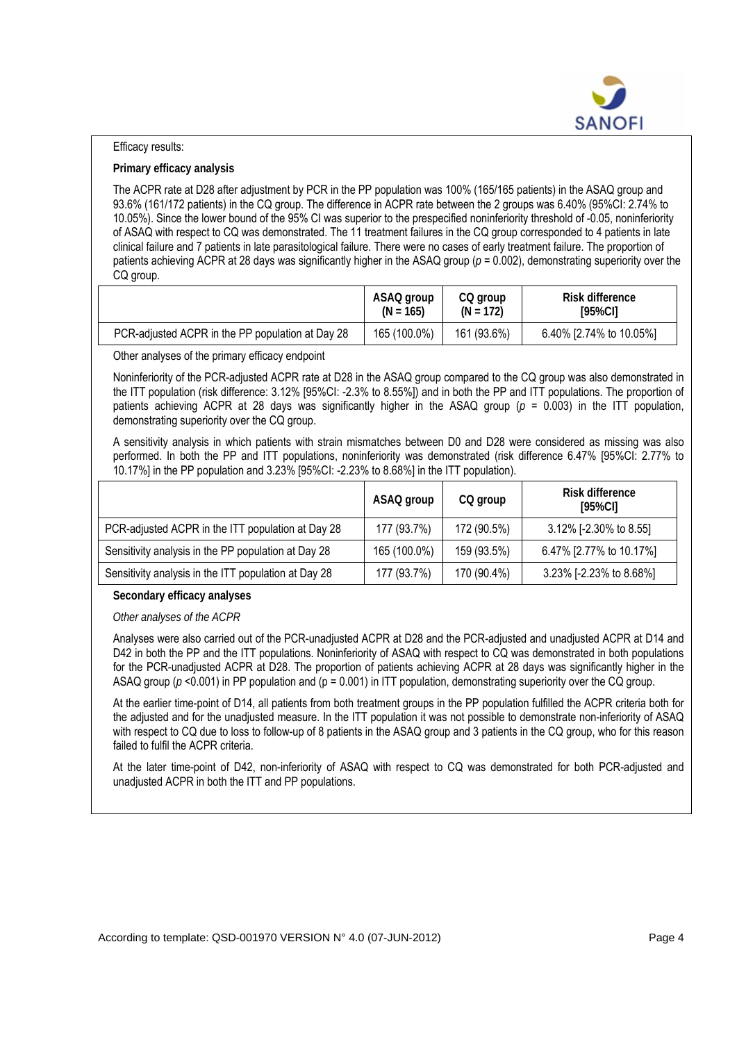

## Efficacy results:

## **Primary efficacy analysis**

The ACPR rate at D28 after adjustment by PCR in the PP population was 100% (165/165 patients) in the ASAQ group and 93.6% (161/172 patients) in the CQ group. The difference in ACPR rate between the 2 groups was 6.40% (95%CI: 2.74% to 10.05%). Since the lower bound of the 95% CI was superior to the prespecified noninferiority threshold of -0.05, noninferiority of ASAQ with respect to CQ was demonstrated. The 11 treatment failures in the CQ group corresponded to 4 patients in late clinical failure and 7 patients in late parasitological failure. There were no cases of early treatment failure. The proportion of patients achieving ACPR at 28 days was significantly higher in the ASAQ group ( $p = 0.002$ ), demonstrating superiority over the CQ group.

|                                                  | ASAQ group   | CQ group    | Risk difference         |
|--------------------------------------------------|--------------|-------------|-------------------------|
|                                                  | $(N = 165)$  | $(N = 172)$ | [95%CI]                 |
| PCR-adjusted ACPR in the PP population at Day 28 | 165 (100.0%) | 161 (93.6%) | 6.40% [2.74% to 10.05%] |

Other analyses of the primary efficacy endpoint

Noninferiority of the PCR-adjusted ACPR rate at D28 in the ASAQ group compared to the CQ group was also demonstrated in the ITT population (risk difference: 3.12% [95%CI: -2.3% to 8.55%]) and in both the PP and ITT populations. The proportion of patients achieving ACPR at 28 days was significantly higher in the ASAQ group (*p* = 0.003) in the ITT population, demonstrating superiority over the CQ group.

A sensitivity analysis in which patients with strain mismatches between D0 and D28 were considered as missing was also performed. In both the PP and ITT populations, noninferiority was demonstrated (risk difference 6.47% [95%CI: 2.77% to 10.17%] in the PP population and 3.23% [95%CI: -2.23% to 8.68%] in the ITT population).

|                                                      | ASAQ group   | CQ group    | Risk difference<br>[95%CI] |
|------------------------------------------------------|--------------|-------------|----------------------------|
| PCR-adjusted ACPR in the ITT population at Day 28    | 177 (93.7%)  | 172 (90.5%) | 3.12% [-2.30% to 8.55]     |
| Sensitivity analysis in the PP population at Day 28  | 165 (100.0%) | 159 (93.5%) | 6.47% [2.77% to 10.17%]    |
| Sensitivity analysis in the ITT population at Day 28 | 177 (93.7%)  | 170 (90.4%) | 3.23% [-2.23% to 8.68%]    |

**Secondary efficacy analyses** 

*Other analyses of the ACPR* 

Analyses were also carried out of the PCR-unadjusted ACPR at D28 and the PCR-adjusted and unadjusted ACPR at D14 and D42 in both the PP and the ITT populations. Noninferiority of ASAQ with respect to CQ was demonstrated in both populations for the PCR-unadjusted ACPR at D28. The proportion of patients achieving ACPR at 28 days was significantly higher in the ASAQ group ( $p$  <0.001) in PP population and ( $p = 0.001$ ) in ITT population, demonstrating superiority over the CQ group.

At the earlier time-point of D14, all patients from both treatment groups in the PP population fulfilled the ACPR criteria both for the adjusted and for the unadjusted measure. In the ITT population it was not possible to demonstrate non-inferiority of ASAQ with respect to CQ due to loss to follow-up of 8 patients in the ASAQ group and 3 patients in the CQ group, who for this reason failed to fulfil the ACPR criteria.

At the later time-point of D42, non-inferiority of ASAQ with respect to CQ was demonstrated for both PCR-adjusted and unadjusted ACPR in both the ITT and PP populations.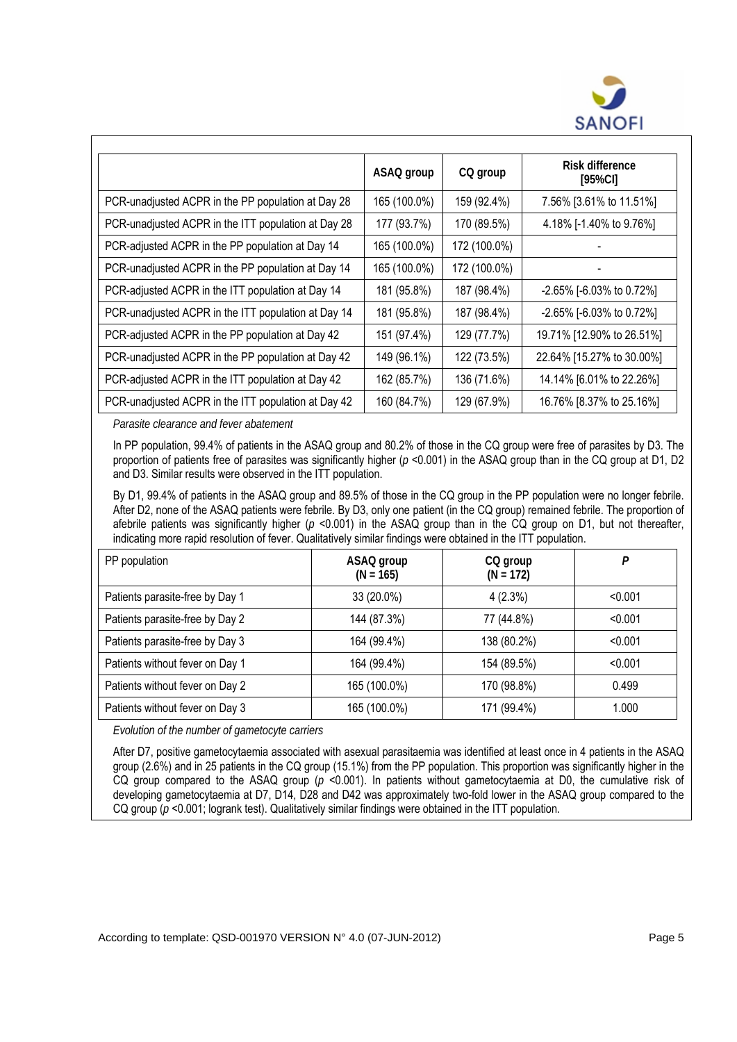

|                                                     | ASAQ group   | CQ group     | Risk difference<br>[95%CI]       |
|-----------------------------------------------------|--------------|--------------|----------------------------------|
| PCR-unadjusted ACPR in the PP population at Day 28  | 165 (100.0%) | 159 (92.4%)  | 7.56% [3.61% to 11.51%]          |
| PCR-unadjusted ACPR in the ITT population at Day 28 | 177 (93.7%)  | 170 (89.5%)  | 4.18% [-1.40% to 9.76%]          |
| PCR-adjusted ACPR in the PP population at Day 14    | 165 (100.0%) | 172 (100.0%) |                                  |
| PCR-unadjusted ACPR in the PP population at Day 14  | 165 (100.0%) | 172 (100.0%) |                                  |
| PCR-adjusted ACPR in the ITT population at Day 14   | 181 (95.8%)  | 187 (98.4%)  | $-2.65\%$ [ $-6.03\%$ to 0.72\%] |
| PCR-unadjusted ACPR in the ITT population at Day 14 | 181 (95.8%)  | 187 (98.4%)  | -2.65% [-6.03% to 0.72%]         |
| PCR-adjusted ACPR in the PP population at Day 42    | 151 (97.4%)  | 129 (77.7%)  | 19.71% [12.90% to 26.51%]        |
| PCR-unadjusted ACPR in the PP population at Day 42  | 149 (96.1%)  | 122 (73.5%)  | 22.64% [15.27% to 30.00%]        |
| PCR-adjusted ACPR in the ITT population at Day 42   | 162 (85.7%)  | 136 (71.6%)  | 14.14% [6.01% to 22.26%]         |
| PCR-unadjusted ACPR in the ITT population at Day 42 | 160 (84.7%)  | 129 (67.9%)  | 16.76% [8.37% to 25.16%]         |

*Parasite clearance and fever abatement* 

In PP population, 99.4% of patients in the ASAQ group and 80.2% of those in the CQ group were free of parasites by D3. The proportion of patients free of parasites was significantly higher ( $p$  <0.001) in the ASAQ group than in the CQ group at D1, D2 and D3. Similar results were observed in the ITT population.

By D1, 99.4% of patients in the ASAQ group and 89.5% of those in the CQ group in the PP population were no longer febrile. After D2, none of the ASAQ patients were febrile. By D3, only one patient (in the CQ group) remained febrile. The proportion of afebrile patients was significantly higher ( $p$  <0.001) in the ASAQ group than in the CQ group on D1, but not thereafter, indicating more rapid resolution of fever. Qualitatively similar findings were obtained in the ITT population.

| PP population                   | ASAQ group<br>$(N = 165)$ | CQ group<br>$(N = 172)$ | P       |
|---------------------------------|---------------------------|-------------------------|---------|
| Patients parasite-free by Day 1 | 33 (20.0%)                | 4(2.3%)                 | < 0.001 |
| Patients parasite-free by Day 2 | 144 (87.3%)               | 77 (44.8%)              | < 0.001 |
| Patients parasite-free by Day 3 | 164 (99.4%)               | 138 (80.2%)             | < 0.001 |
| Patients without fever on Day 1 | 164 (99.4%)               | 154 (89.5%)             | < 0.001 |
| Patients without fever on Day 2 | 165 (100.0%)              | 170 (98.8%)             | 0.499   |
| Patients without fever on Day 3 | 165 (100.0%)              | 171 (99.4%)             | 1.000   |

*Evolution of the number of gametocyte carriers* 

After D7, positive gametocytaemia associated with asexual parasitaemia was identified at least once in 4 patients in the ASAQ group (2.6%) and in 25 patients in the CQ group (15.1%) from the PP population. This proportion was significantly higher in the CQ group compared to the ASAQ group (*p* <0.001). In patients without gametocytaemia at D0, the cumulative risk of developing gametocytaemia at D7, D14, D28 and D42 was approximately two-fold lower in the ASAQ group compared to the CQ group ( $p \le 0.001$ ; logrank test). Qualitatively similar findings were obtained in the ITT population.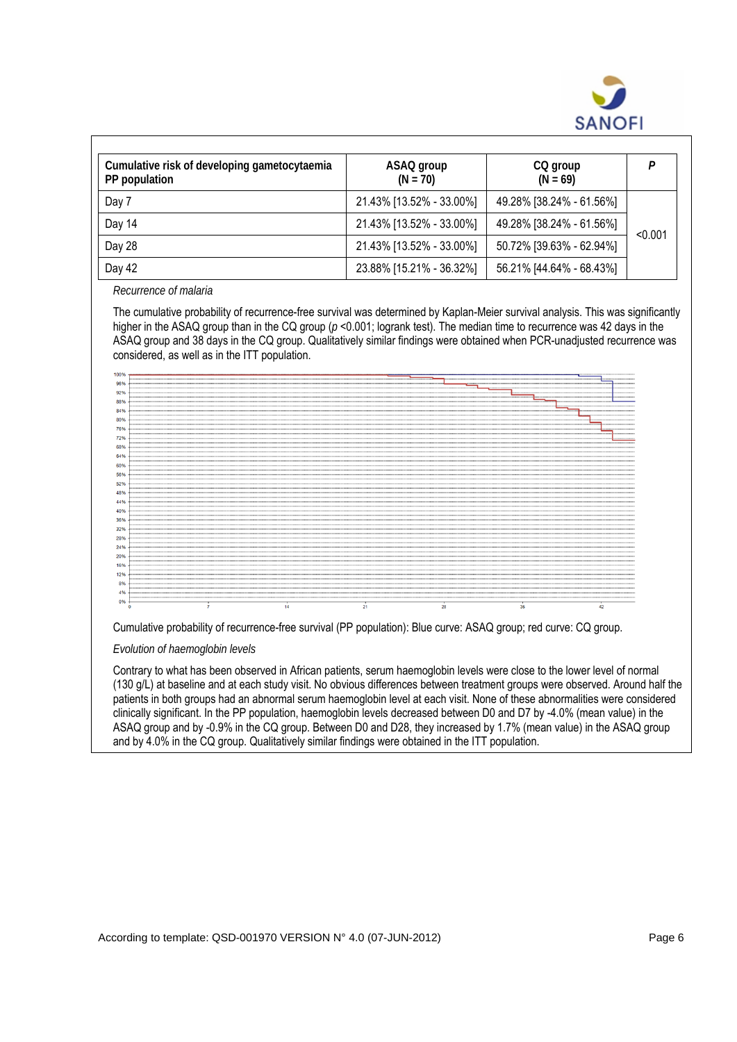

| Cumulative risk of developing gametocytaemia<br>PP population | ASAQ group<br>$(N = 70)$ | CQ group<br>$(N = 69)$   | D       |
|---------------------------------------------------------------|--------------------------|--------------------------|---------|
| Day 7                                                         | 21.43% [13.52% - 33.00%] | 49.28% [38.24% - 61.56%] |         |
| Day 14                                                        | 21.43% [13.52% - 33.00%] | 49.28% [38.24% - 61.56%] | < 0.001 |
| Day 28                                                        | 21.43% [13.52% - 33.00%] | 50.72% [39.63% - 62.94%] |         |
| Day 42                                                        | 23.88% [15.21% - 36.32%] | 56.21% [44.64% - 68.43%] |         |

*Recurrence of malaria* 

The cumulative probability of recurrence-free survival was determined by Kaplan-Meier survival analysis. This was significantly higher in the ASAQ group than in the CQ group ( $p$  <0.001; logrank test). The median time to recurrence was 42 days in the ASAQ group and 38 days in the CQ group. Qualitatively similar findings were obtained when PCR-unadjusted recurrence was considered, as well as in the ITT population.



Cumulative probability of recurrence-free survival (PP population): Blue curve: ASAQ group; red curve: CQ group.

*Evolution of haemoglobin levels* 

Contrary to what has been observed in African patients, serum haemoglobin levels were close to the lower level of normal (130 g/L) at baseline and at each study visit. No obvious differences between treatment groups were observed. Around half the patients in both groups had an abnormal serum haemoglobin level at each visit. None of these abnormalities were considered clinically significant. In the PP population, haemoglobin levels decreased between D0 and D7 by -4.0% (mean value) in the ASAQ group and by -0.9% in the CQ group. Between D0 and D28, they increased by 1.7% (mean value) in the ASAQ group and by 4.0% in the CQ group. Qualitatively similar findings were obtained in the ITT population.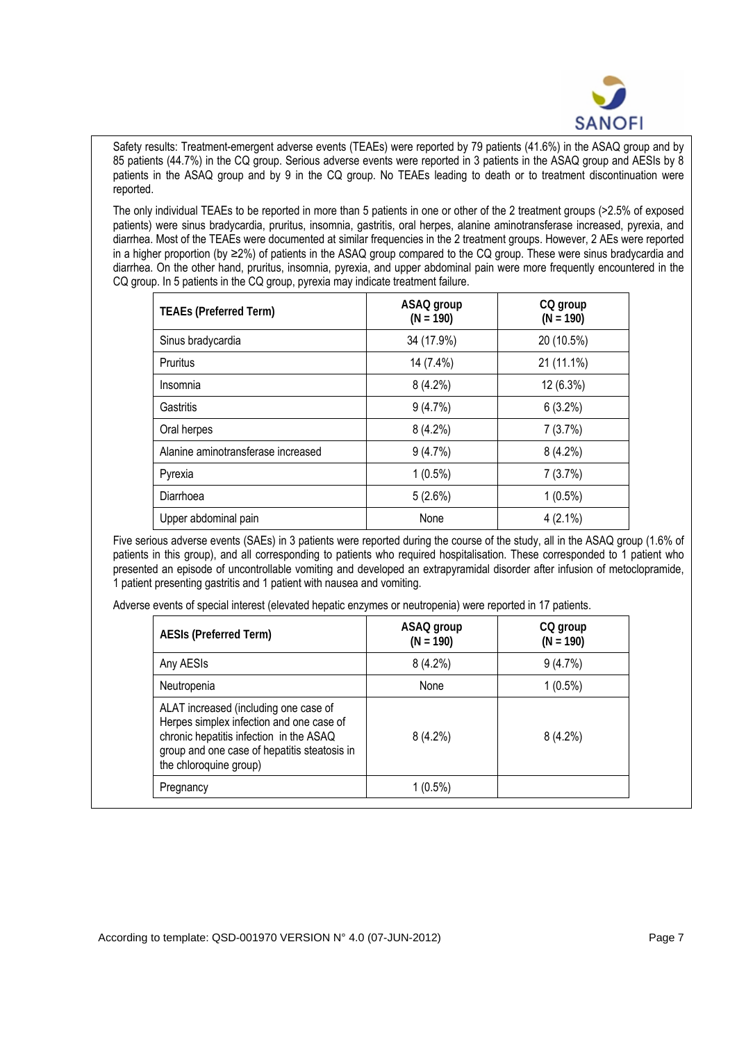

Safety results: Treatment-emergent adverse events (TEAEs) were reported by 79 patients (41.6%) in the ASAQ group and by 85 patients (44.7%) in the CQ group. Serious adverse events were reported in 3 patients in the ASAQ group and AESIs by 8 patients in the ASAQ group and by 9 in the CQ group. No TEAEs leading to death or to treatment discontinuation were reported.

The only individual TEAEs to be reported in more than 5 patients in one or other of the 2 treatment groups (>2.5% of exposed patients) were sinus bradycardia, pruritus, insomnia, gastritis, oral herpes, alanine aminotransferase increased, pyrexia, and diarrhea. Most of the TEAEs were documented at similar frequencies in the 2 treatment groups. However, 2 AEs were reported in a higher proportion (by ≥2%) of patients in the ASAQ group compared to the CQ group. These were sinus bradycardia and diarrhea. On the other hand, pruritus, insomnia, pyrexia, and upper abdominal pain were more frequently encountered in the CQ group. In 5 patients in the CQ group, pyrexia may indicate treatment failure.

| <b>TEAEs (Preferred Term)</b>      | ASAQ group<br>$(N = 190)$ | CQ group<br>$(N = 190)$ |
|------------------------------------|---------------------------|-------------------------|
| Sinus bradycardia                  | 34 (17.9%)                | 20 (10.5%)              |
| Pruritus                           | 14 (7.4%)                 | 21 (11.1%)              |
| Insomnia                           | 8(4.2%)                   | 12 (6.3%)               |
| Gastritis                          | 9(4.7%)                   | $6(3.2\%)$              |
| Oral herpes                        | $8(4.2\%)$                | 7(3.7%)                 |
| Alanine aminotransferase increased | 9(4.7%)                   | $8(4.2\%)$              |
| Pyrexia                            | $1(0.5\%)$                | 7(3.7%)                 |
| Diarrhoea                          | 5(2.6%)                   | $1(0.5\%)$              |
| Upper abdominal pain               | None                      | $4(2.1\%)$              |

Five serious adverse events (SAEs) in 3 patients were reported during the course of the study, all in the ASAQ group (1.6% of patients in this group), and all corresponding to patients who required hospitalisation. These corresponded to 1 patient who presented an episode of uncontrollable vomiting and developed an extrapyramidal disorder after infusion of metoclopramide, 1 patient presenting gastritis and 1 patient with nausea and vomiting.

Adverse events of special interest (elevated hepatic enzymes or neutropenia) were reported in 17 patients.

| <b>AESIs (Preferred Term)</b>                                                                                                                                                                          | ASAQ group<br>$(N = 190)$ | CQ group<br>$(N = 190)$ |
|--------------------------------------------------------------------------------------------------------------------------------------------------------------------------------------------------------|---------------------------|-------------------------|
| Any AESIs                                                                                                                                                                                              | $8(4.2\%)$                | $9(4.7\%)$              |
| Neutropenia                                                                                                                                                                                            | None                      | $1(0.5\%)$              |
| ALAT increased (including one case of<br>Herpes simplex infection and one case of<br>chronic hepatitis infection in the ASAQ<br>group and one case of hepatitis steatosis in<br>the chloroquine group) | $8(4.2\%)$                | $8(4.2\%)$              |
| Pregnancy                                                                                                                                                                                              | 1 (0.5%)                  |                         |